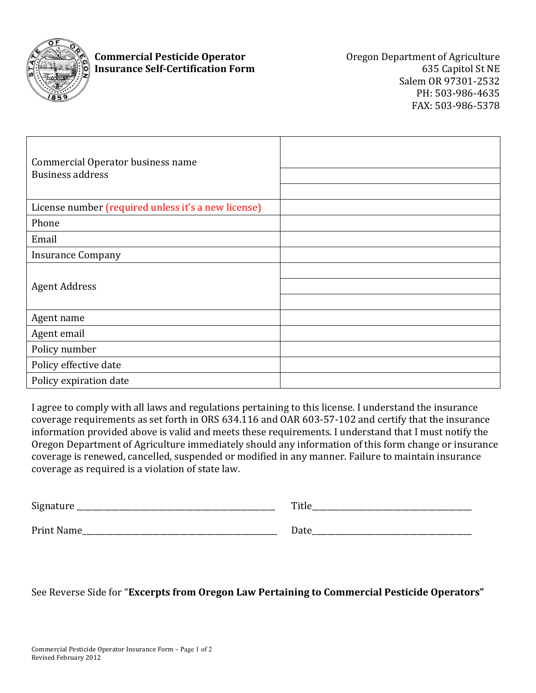

## **Commercial Pesticide Operator Commercial Pesticide Operator Commercial Pesticide Operator Commercial Pesticide Operator Insurance Self-Certification Form** 635 Capitol St NE

Salem OR 97301-2532 PH: 503-986-4635 FAX: 503-986-5378

| Commercial Operator business name<br><b>Business address</b> |  |
|--------------------------------------------------------------|--|
| License number (required unless it's a new license)          |  |
| Phone                                                        |  |
| Email                                                        |  |
| <b>Insurance Company</b>                                     |  |
| <b>Agent Address</b>                                         |  |
| Agent name                                                   |  |
| Agent email                                                  |  |
| Policy number                                                |  |
| Policy effective date                                        |  |
| Policy expiration date                                       |  |

I agree to comply with all laws and regulations pertaining to this license. I understand the insurance coverage requirements as set forth in ORS 634.116 and OAR 603-57-102 and certify that the insurance information provided above is valid and meets these requirements. I understand that I must notify the Oregon Department of Agriculture immediately should any information of this form change or insurance coverage is renewed, cancelled, suspended or modified in any manner. Failure to maintain insurance coverage as required is a violation of state law.

| Signature  | Title |
|------------|-------|
| Print Name | Date  |

See Reverse Side for "**Excerpts from Oregon Law Pertaining to Commercial Pesticide Operators"**